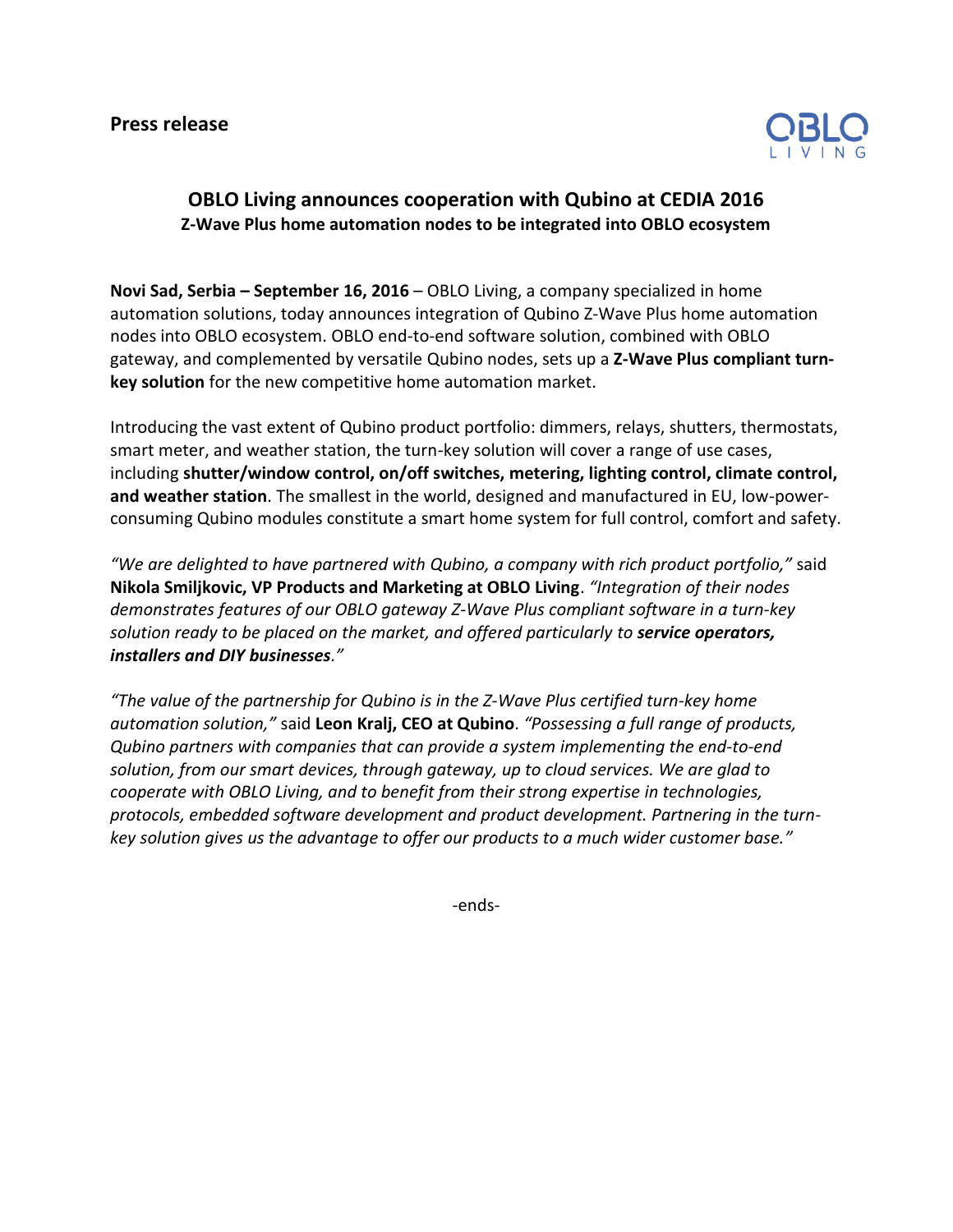

## **OBLO Living announces cooperation with Qubino at CEDIA 2016 Z-Wave Plus home automation nodes to be integrated into OBLO ecosystem**

**Novi Sad, Serbia – September 16, 2016** – OBLO Living, a company specialized in home automation solutions, today announces integration of Qubino Z-Wave Plus home automation nodes into OBLO ecosystem. OBLO end-to-end software solution, combined with OBLO gateway, and complemented by versatile Qubino nodes, sets up a **Z-Wave Plus compliant turnkey solution** for the new competitive home automation market.

Introducing the vast extent of Qubino product portfolio: dimmers, relays, shutters, thermostats, smart meter, and weather station, the turn-key solution will cover a range of use cases, including **shutter/window control, on/off switches, metering, lighting control, climate control, and weather station**. The smallest in the world, designed and manufactured in EU, low-powerconsuming Qubino modules constitute a smart home system for full control, comfort and safety.

*"We are delighted to have partnered with Qubino, a company with rich product portfolio,"* said **Nikola Smiljkovic, VP Products and Marketing at OBLO Living**. *"Integration of their nodes demonstrates features of our OBLO gateway Z-Wave Plus compliant software in a turn-key solution ready to be placed on the market, and offered particularly to service operators, installers and DIY businesses."*

*"The value of the partnership for Qubino is in the Z-Wave Plus certified turn-key home automation solution,"* said **Leon Kralj, CEO at Qubino**. *"Possessing a full range of products, Qubino partners with companies that can provide a system implementing the end-to-end solution, from our smart devices, through gateway, up to cloud services. We are glad to cooperate with OBLO Living, and to benefit from their strong expertise in technologies, protocols, embedded software development and product development. Partnering in the turnkey solution gives us the advantage to offer our products to a much wider customer base."*

-ends-